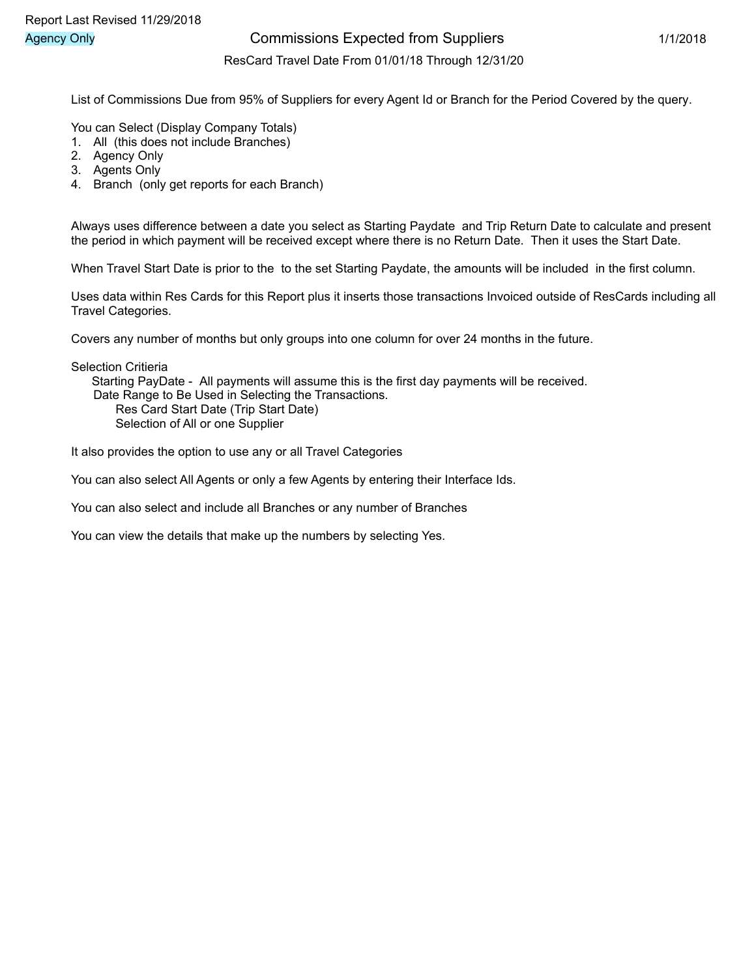## Agency Only **Agency Only Commissions Expected from Suppliers** 1/1/2018

#### ResCard Travel Date From 01/01/18 Through 12/31/20

List of Commissions Due from 95% of Suppliers for every Agent Id or Branch for the Period Covered by the query.

You can Select (Display Company Totals)

- 1. All (this does not include Branches)
- 2. Agency Only
- 3. Agents Only
- 4. Branch (only get reports for each Branch)

Always uses difference between a date you select as Starting Paydate and Trip Return Date to calculate and present the period in which payment will be received except where there is no Return Date. Then it uses the Start Date.

When Travel Start Date is prior to the to the set Starting Paydate, the amounts will be included in the first column.

Uses data within Res Cards for this Report plus it inserts those transactions Invoiced outside of ResCards including all Travel Categories.

Covers any number of months but only groups into one column for over 24 months in the future.

Selection Critieria

 Starting PayDate - All payments will assume this is the first day payments will be received. Date Range to Be Used in Selecting the Transactions. Res Card Start Date (Trip Start Date)

Selection of All or one Supplier

It also provides the option to use any or all Travel Categories

You can also select All Agents or only a few Agents by entering their Interface Ids.

You can also select and include all Branches or any number of Branches

You can view the details that make up the numbers by selecting Yes.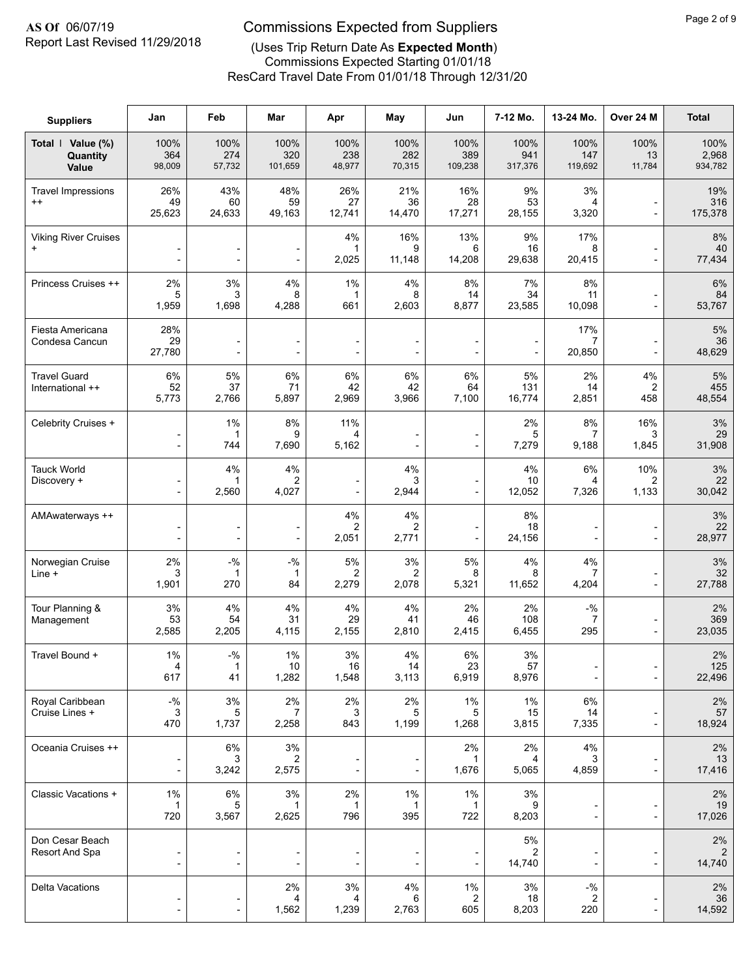# Report Last Revised 11/29/2018

## **AS Of** 06/07/19 Commissions Expected from Suppliers

## (Uses Trip Return Date As **Expected Month**)

ResCard Travel Date From 01/01/18 Through 12/31/20 Commissions Expected Starting 01/01/18

| <b>Suppliers</b>                         | Jan                                                          | Feb                                        | Mar                              | Apr                                            | May                   | Jun                                                  | 7-12 Mo.               | 13-24 Mo.                                            | Over 24 M                                  | <b>Total</b>             |
|------------------------------------------|--------------------------------------------------------------|--------------------------------------------|----------------------------------|------------------------------------------------|-----------------------|------------------------------------------------------|------------------------|------------------------------------------------------|--------------------------------------------|--------------------------|
| Total   Value (%)<br>Quantity<br>Value   | 100%<br>364<br>98,009                                        | 100%<br>274<br>57,732                      | 100%<br>320<br>101,659           | 100%<br>238<br>48,977                          | 100%<br>282<br>70,315 | 100%<br>389<br>109,238                               | 100%<br>941<br>317,376 | 100%<br>147<br>119,692                               | 100%<br>13<br>11,784                       | 100%<br>2,968<br>934,782 |
| <b>Travel Impressions</b><br>$^{++}$     | 26%<br>49<br>25,623                                          | 43%<br>60<br>24,633                        | 48%<br>59<br>49,163              | 26%<br>27<br>12,741                            | 21%<br>36<br>14,470   | 16%<br>28<br>17,271                                  | 9%<br>53<br>28,155     | 3%<br>4<br>3,320                                     | $\blacksquare$                             | 19%<br>316<br>175,378    |
| <b>Viking River Cruises</b><br>$\ddot{}$ | $\overline{\phantom{a}}$<br>$\overline{a}$                   | $\blacksquare$                             | $\blacksquare$<br>$\blacksquare$ | 4%<br>1<br>2,025                               | 16%<br>9<br>11,148    | 13%<br>6<br>14,208                                   | 9%<br>16<br>29,638     | 17%<br>8<br>20,415                                   | $\overline{\phantom{a}}$<br>$\blacksquare$ | 8%<br>40<br>77,434       |
| Princess Cruises ++                      | 2%<br>5<br>1,959                                             | 3%<br>3<br>1,698                           | 4%<br>8<br>4,288                 | 1%<br>1<br>661                                 | 4%<br>8<br>2,603      | 8%<br>14<br>8,877                                    | 7%<br>34<br>23,585     | 8%<br>11<br>10,098                                   | $\overline{\phantom{a}}$                   | 6%<br>84<br>53,767       |
| Fiesta Americana<br>Condesa Cancun       | 28%<br>29<br>27,780                                          | $\overline{\phantom{0}}$                   | $\overline{\phantom{a}}$         | $\blacksquare$                                 | $\overline{a}$        | $\blacksquare$<br>$\overline{\phantom{a}}$           | $\overline{a}$         | 17%<br>$\overline{7}$<br>20,850                      | $\overline{\phantom{a}}$                   | 5%<br>36<br>48,629       |
| <b>Travel Guard</b><br>International ++  | 6%<br>52<br>5,773                                            | 5%<br>37<br>2,766                          | 6%<br>71<br>5,897                | 6%<br>42<br>2,969                              | 6%<br>42<br>3,966     | 6%<br>64<br>7,100                                    | 5%<br>131<br>16,774    | 2%<br>14<br>2,851                                    | 4%<br>2<br>458                             | 5%<br>455<br>48,554      |
| Celebrity Cruises +                      | $\overline{\phantom{0}}$                                     | 1%<br>1<br>744                             | 8%<br>9<br>7,690                 | 11%<br>4<br>5,162                              |                       | $\overline{\phantom{a}}$<br>$\overline{\phantom{a}}$ | 2%<br>5<br>7,279       | 8%<br>7<br>9,188                                     | 16%<br>3<br>1,845                          | 3%<br>29<br>31,908       |
| <b>Tauck World</b><br>Discovery +        | $\overline{\phantom{a}}$                                     | 4%<br>1<br>2,560                           | 4%<br>2<br>4,027                 | $\overline{\phantom{a}}$                       | 4%<br>3<br>2,944      | $\overline{\phantom{a}}$<br>$\overline{\phantom{a}}$ | 4%<br>10<br>12,052     | 6%<br>4<br>7,326                                     | 10%<br>2<br>1,133                          | 3%<br>22<br>30,042       |
| AMAwaterways ++                          | -                                                            | $\overline{a}$                             | $\overline{\phantom{a}}$         | 4%<br>2<br>2,051                               | 4%<br>2<br>2,771      | $\overline{\phantom{a}}$<br>$\overline{\phantom{a}}$ | 8%<br>18<br>24,156     | $\overline{\phantom{0}}$                             | $\overline{\phantom{a}}$                   | 3%<br>22<br>28,977       |
| Norwegian Cruise<br>Line +               | 2%<br>3<br>1,901                                             | $-$ %<br>270                               | $-$ %<br>1<br>84                 | 5%<br>2<br>2,279                               | 3%<br>2<br>2,078      | 5%<br>8<br>5,321                                     | 4%<br>8<br>11,652      | 4%<br>7<br>4,204                                     | $\overline{\phantom{a}}$                   | 3%<br>32<br>27,788       |
| Tour Planning &<br>Management            | 3%<br>53<br>2,585                                            | 4%<br>54<br>2,205                          | 4%<br>31<br>4,115                | 4%<br>29<br>2,155                              | 4%<br>41<br>2,810     | 2%<br>46<br>2,415                                    | 2%<br>108<br>6,455     | $-$ %<br>$\overline{7}$<br>295                       |                                            | 2%<br>369<br>23,035      |
| Travel Bound +                           | 1%<br>4<br>617                                               | $-$ %<br>$\mathbf{1}$<br>41                | 1%<br>10<br>1,282                | 3%<br>16<br>1,548                              | 4%<br>14<br>3,113     | 6%<br>23<br>6,919                                    | 3%<br>57<br>8,976      | $\overline{\phantom{a}}$                             | $\overline{\phantom{a}}$                   | 2%<br>125<br>22,496      |
| Royal Caribbean<br>Cruise Lines +        | $\mathbin{{\mathcal-}}\!\mathbin{\mathcal{Y}}_0$<br>3<br>470 | $3%$<br>5<br>1,737                         | 2%<br>2,258                      | 2%<br>3<br>843                                 | 2%<br>5<br>1,199      | 1%<br>5<br>1,268                                     | $1\%$<br>15<br>3,815   | 6%<br>14<br>7,335                                    | $\overline{a}$                             | 2%<br>57<br>18,924       |
| Oceania Cruises ++                       | -<br>$\overline{a}$                                          | $6\%$<br>3<br>3,242                        | 3%<br>2<br>2,575                 | $\qquad \qquad \blacksquare$<br>$\blacksquare$ | ٠                     | 2%<br>1,676                                          | 2%<br>4<br>5,065       | 4%<br>3<br>4,859                                     | $\overline{\phantom{a}}$<br>$\blacksquare$ | 2%<br>13<br>17,416       |
| Classic Vacations +                      | 1%<br>1<br>720                                               | 6%<br>5<br>3,567                           | $3\%$<br>1<br>2,625              | 2%<br>$\mathbf{1}$<br>796                      | $1\%$<br>1<br>395     | 1%<br>$\mathbf{1}$<br>722                            | 3%<br>9<br>8,203       | $\overline{\phantom{a}}$<br>$\overline{\phantom{a}}$ | $\overline{a}$                             | 2%<br>19<br>17,026       |
| Don Cesar Beach<br>Resort And Spa        | -<br>$\overline{a}$                                          | $\overline{\phantom{a}}$                   | $\overline{a}$                   | $\overline{a}$                                 | $\overline{a}$        | $\overline{\phantom{a}}$<br>$\blacksquare$           | 5%<br>2<br>14,740      | ÷,                                                   | $\overline{\phantom{a}}$                   | 2%<br>2<br>14,740        |
| Delta Vacations                          | -<br>$\overline{\phantom{0}}$                                | $\overline{\phantom{0}}$<br>$\overline{a}$ | 2%<br>4<br>1,562                 | $3%$<br>4<br>1,239                             | 4%<br>6<br>2,763      | 1%<br>2<br>605                                       | $3%$<br>18<br>8,203    | $-9/6$<br>2<br>220                                   | $\overline{\phantom{a}}$                   | 2%<br>36<br>14,592       |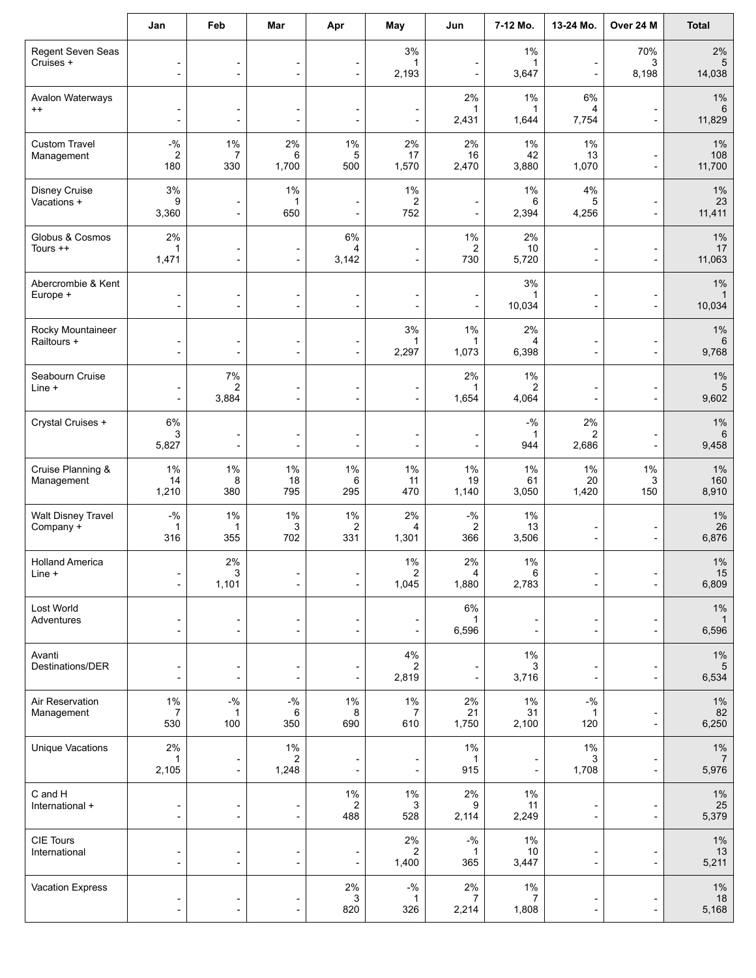|                                        | Jan                                                                    | Feb                                                        | Mar                                                      | Apr                                                  | May                                       | Jun                                                  | 7-12 Mo.                                   | 13-24 Mo.                                            | Over 24 M                                            | <b>Total</b>                     |
|----------------------------------------|------------------------------------------------------------------------|------------------------------------------------------------|----------------------------------------------------------|------------------------------------------------------|-------------------------------------------|------------------------------------------------------|--------------------------------------------|------------------------------------------------------|------------------------------------------------------|----------------------------------|
| Regent Seven Seas<br>Cruises +         | $\overline{\phantom{a}}$<br>$\overline{\phantom{a}}$                   | $\overline{\phantom{a}}$<br>$\overline{\phantom{a}}$       | $\overline{\phantom{a}}$<br>$\overline{\phantom{a}}$     | $\overline{\phantom{0}}$<br>$\overline{\phantom{a}}$ | 3%<br>$\mathbf{1}$<br>2,193               | $\overline{\phantom{a}}$                             | 1%<br>1<br>3,647                           | -<br>$\overline{\phantom{a}}$                        | 70%<br>3<br>8,198                                    | 2%<br>$5\phantom{.0}$<br>14,038  |
| Avalon Waterways<br>$^{++}$            | $\overline{\phantom{a}}$<br>$\overline{\phantom{a}}$                   |                                                            | $\overline{a}$<br>$\overline{a}$                         |                                                      | $\overline{a}$                            | 2%<br>$\mathbf 1$<br>2,431                           | 1%<br>1<br>1,644                           | 6%<br>4<br>7,754                                     | ÷,                                                   | 1%<br>6<br>11,829                |
| <b>Custom Travel</b><br>Management     | $-9/6$<br>$\overline{c}$<br>180                                        | 1%<br>7<br>330                                             | $2\%$<br>6<br>1,700                                      | 1%<br>5<br>500                                       | 2%<br>17<br>1,570                         | 2%<br>16<br>2,470                                    | $1\%$<br>42<br>3,880                       | 1%<br>13<br>1,070                                    | $\overline{\phantom{a}}$<br>÷                        | $1\%$<br>108<br>11,700           |
| <b>Disney Cruise</b><br>Vacations +    | $3%$<br>9<br>3,360                                                     | ٠<br>$\overline{a}$                                        | 1%<br>1<br>650                                           | ÷<br>L,                                              | 1%<br>$\overline{c}$<br>752               | $\overline{\phantom{a}}$<br>$\overline{\phantom{a}}$ | 1%<br>6<br>2,394                           | 4%<br>5<br>4,256                                     | $\overline{a}$<br>÷                                  | 1%<br>23<br>11,411               |
| Globus & Cosmos<br>Tours ++            | 2%<br>$\mathbf{1}$<br>1,471                                            | ٠<br>$\overline{\phantom{a}}$                              | $\overline{\phantom{a}}$<br>$\overline{\phantom{a}}$     | $6\%$<br>4<br>3,142                                  | -<br>$\overline{a}$                       | 1%<br>$\overline{c}$<br>730                          | 2%<br>10<br>5,720                          | $\blacksquare$<br>÷,                                 | $\overline{\phantom{a}}$<br>$\overline{\phantom{a}}$ | $1\%$<br>$17$<br>11,063          |
| Abercrombie & Kent<br>Europe +         | $\overline{\phantom{a}}$<br>$\blacksquare$                             | $\overline{a}$<br>$\blacksquare$                           | $\overline{\phantom{m}}$<br>$\overline{a}$               | -<br>$\overline{\phantom{a}}$                        | -<br>L,                                   | $\overline{\phantom{a}}$<br>$\frac{1}{2}$            | $3%$<br>1<br>10,034                        | -<br>$\overline{a}$                                  | $\overline{\phantom{a}}$<br>÷,                       | $1\%$<br>10,034                  |
| Rocky Mountaineer<br>Railtours +       | $\overline{\phantom{a}}$<br>$\overline{\phantom{a}}$                   | $\overline{\phantom{a}}$<br>$\blacksquare$                 | $\overline{\phantom{a}}$<br>$\blacksquare$               | $\overline{\phantom{a}}$<br>$\overline{\phantom{a}}$ | 3%<br>1<br>2,297                          | $1\%$<br>1,073                                       | 2%<br>4<br>6,398                           | $\overline{a}$<br>$\overline{a}$                     | $\overline{\phantom{a}}$<br>$\blacksquare$           | $1\%$<br>6<br>9,768              |
| Seabourn Cruise<br>Line +              | $\overline{\phantom{a}}$<br>$\overline{\phantom{a}}$                   | $7\%$<br>2<br>3,884                                        | $\qquad \qquad \blacksquare$<br>$\overline{\phantom{a}}$ | $\overline{\phantom{0}}$<br>$\blacksquare$           | -<br>$\qquad \qquad \blacksquare$         | 2%<br>1<br>1,654                                     | $1\%$<br>2<br>4,064                        | -<br>$\overline{\phantom{0}}$                        | -<br>$\overline{\phantom{a}}$                        | $1\%$<br>5<br>9,602              |
| Crystal Cruises +                      | $6\%$<br>3<br>5,827                                                    | $\overline{\phantom{a}}$<br>$\overline{\phantom{a}}$       | $\overline{a}$<br>$\overline{\phantom{a}}$               | $\overline{\phantom{0}}$                             | -<br>$\overline{\phantom{a}}$             | $\blacksquare$                                       | $-$ %<br>1<br>944                          | 2%<br>2<br>2,686                                     | $\overline{\phantom{a}}$                             | 1%<br>$\,6\,$<br>9,458           |
| Cruise Planning &<br>Management        | $1\%$<br>14<br>1,210                                                   | 1%<br>8<br>380                                             | 1%<br>18<br>795                                          | 1%<br>6<br>295                                       | 1%<br>11<br>470                           | $1\%$<br>19<br>1,140                                 | 1%<br>61<br>3,050                          | $1\%$<br>20<br>1,420                                 | $1\%$<br>3<br>150                                    | $1\%$<br>160<br>8,910            |
| <b>Walt Disney Travel</b><br>Company + | $\mathbin{{\mathcal-}}\!\mathbin{\mathcal{Y}}_0$<br>$\mathbf 1$<br>316 | 1%<br>1<br>355                                             | 1%<br>3<br>702                                           | 1%<br>$\boldsymbol{2}$<br>331                        | 2%<br>4<br>1,301                          | $-$ %<br>$\overline{\mathbf{c}}$<br>366              | 1%<br>13<br>3,506                          | $\overline{\phantom{a}}$<br>$\overline{\phantom{0}}$ | $\overline{\phantom{0}}$<br>$\overline{\phantom{0}}$ | $1\%$<br>26<br>6,876             |
| <b>Holland America</b><br>Line +       | $\overline{\phantom{a}}$<br>$\overline{\phantom{a}}$                   | 2%<br>3<br>1,101                                           | $\overline{\phantom{a}}$                                 | $\overline{\phantom{a}}$                             | $1\%$<br>$\overline{\mathbf{c}}$<br>1,045 | $2\%$<br>4<br>1,880                                  | $1\%$<br>6<br>2,783                        | $\overline{\phantom{a}}$                             | $\overline{\phantom{a}}$                             | $1\%$<br>$15$<br>6,809           |
| Lost World<br>Adventures               | $\overline{\phantom{a}}$<br>$\overline{\phantom{a}}$                   | $\overline{\phantom{a}}$                                   | $\overline{\phantom{a}}$<br>$\overline{\phantom{a}}$     | ÷                                                    | $\overline{a}$                            | 6%<br>6,596                                          | $\overline{a}$                             | -<br>$\overline{\phantom{a}}$                        | $\overline{\phantom{a}}$                             | $1\%$<br>$\mathbf{1}$<br>6,596   |
| Avanti<br>Destinations/DER             | $\overline{\phantom{a}}$<br>$\overline{\phantom{a}}$                   | $\overline{\phantom{a}}$<br>$\overline{\phantom{a}}$       | $\overline{\phantom{a}}$<br>$\overline{\phantom{a}}$     | ÷                                                    | $4\%$<br>$\overline{c}$<br>2,819          | $\overline{a}$                                       | $1\%$<br>3<br>3,716                        | -<br>۰                                               | ÷                                                    | $1\%$<br>5<br>6,534              |
| Air Reservation<br>Management          | $1\%$<br>$\overline{7}$<br>530                                         | $\mathbin{{\mathcal-}}\mathbin{\mathcal{Y}}_0$<br>1<br>100 | $-$ %<br>6<br>350                                        | 1%<br>8<br>690                                       | 1%<br>7<br>610                            | 2%<br>21<br>1,750                                    | $1\%$<br>31<br>2,100                       | $-$ %<br>1<br>120                                    | ÷                                                    | $1\%$<br>82<br>6,250             |
| <b>Unique Vacations</b>                | 2%<br>$\mathbf{1}$<br>2,105                                            | $\overline{\phantom{a}}$                                   | 1%<br>2<br>1,248                                         | $\overline{a}$                                       | $\overline{a}$                            | 1%<br>$\mathbf 1$<br>915                             | $\overline{a}$<br>$\overline{\phantom{a}}$ | 1%<br>3<br>1,708                                     | ÷,                                                   | $1\%$<br>$\overline{7}$<br>5,976 |
| C and H<br>International +             | $\overline{\phantom{a}}$<br>$\overline{\phantom{a}}$                   | $\overline{\phantom{a}}$                                   | $\overline{\phantom{a}}$<br>$\overline{\phantom{a}}$     | $1\%$<br>$\overline{\mathbf{c}}$<br>488              | 1%<br>3<br>528                            | 2%<br>9<br>2,114                                     | 1%<br>11<br>2,249                          | $\overline{\phantom{a}}$                             | ÷                                                    | $1\%$<br>25<br>5,379             |
| <b>CIE Tours</b><br>International      | $\overline{\phantom{a}}$<br>$\overline{\phantom{a}}$                   | $\overline{\phantom{a}}$<br>$\overline{\phantom{a}}$       | $\overline{\phantom{a}}$<br>$\overline{\phantom{a}}$     | $\overline{\phantom{a}}$<br>÷                        | 2%<br>$\overline{c}$<br>1,400             | $-$ %<br>1<br>365                                    | 1%<br>10<br>3,447                          | $\overline{\phantom{a}}$<br>$\overline{a}$           | $\overline{a}$<br>$\overline{\phantom{a}}$           | $1\%$<br>13<br>5,211             |
| Vacation Express                       | $\overline{\phantom{a}}$<br>$\overline{a}$                             |                                                            | $\overline{\phantom{a}}$<br>$\overline{\phantom{a}}$     | 2%<br>3<br>820                                       | $-$ %<br>$\mathbf{1}$<br>326              | 2%<br>$\overline{7}$<br>2,214                        | 1%<br>7<br>1,808                           | $\overline{a}$<br>$\overline{a}$                     | -                                                    | $1\%$<br>18<br>5,168             |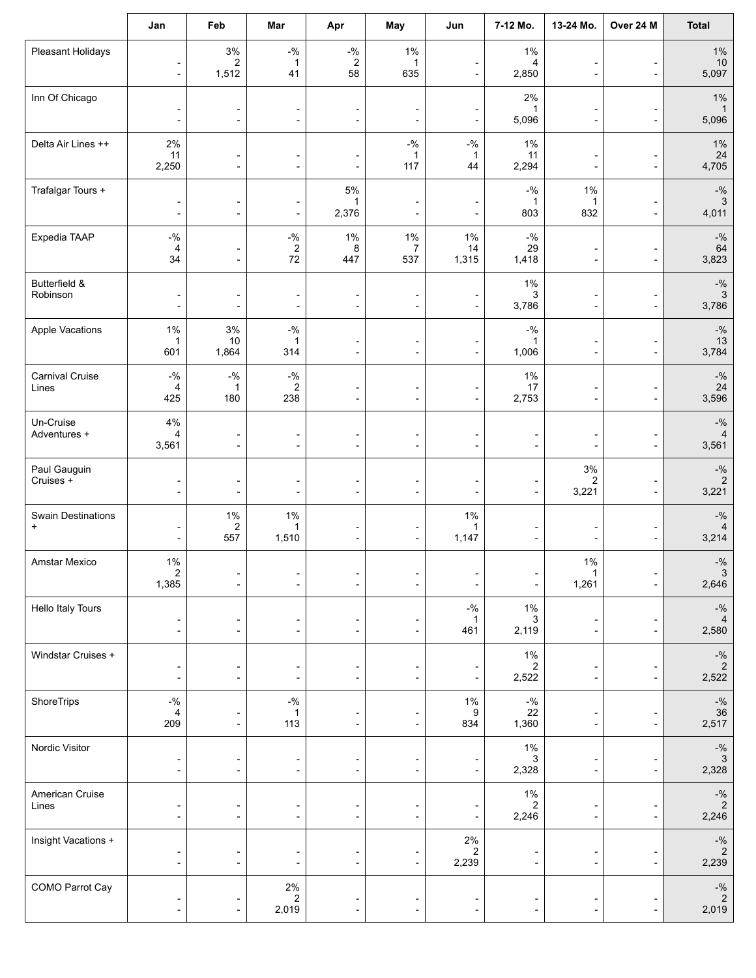|                                        | Jan                                                          | Feb                                                  | Mar                                                      | Apr                                                                      | May                                                      | Jun                                                  | 7-12 Mo.                                                                 | 13-24 Mo.                                            | Over 24 M                                  | <b>Total</b>                                                              |
|----------------------------------------|--------------------------------------------------------------|------------------------------------------------------|----------------------------------------------------------|--------------------------------------------------------------------------|----------------------------------------------------------|------------------------------------------------------|--------------------------------------------------------------------------|------------------------------------------------------|--------------------------------------------|---------------------------------------------------------------------------|
| Pleasant Holidays                      | $\overline{\phantom{a}}$<br>$\overline{\phantom{a}}$         | $3\%$<br>$\overline{2}$<br>1,512                     | $-9/6$<br>$\mathbf{1}$<br>41                             | $\mathbin{{\mathcal-}}\!\mathbin{\mathcal{Y}}_0$<br>$\overline{2}$<br>58 | $1\%$<br>$\mathbf{1}$<br>635                             | $\overline{\phantom{a}}$<br>$\overline{\phantom{a}}$ | $1\%$<br>4<br>2,850                                                      | -<br>$\overline{\phantom{0}}$                        | $\overline{\phantom{a}}$                   | $1\%$<br>$10$<br>5,097                                                    |
| Inn Of Chicago                         | $\overline{\phantom{a}}$<br>$\overline{\phantom{a}}$         | $\overline{a}$<br>$\overline{\phantom{a}}$           | $\qquad \qquad \blacksquare$<br>$\overline{\phantom{a}}$ | $\overline{\phantom{0}}$<br>$\overline{a}$                               | -<br>-                                                   | $\overline{\phantom{a}}$<br>$\blacksquare$           | 2%<br>1<br>5,096                                                         | $\overline{a}$<br>$\overline{\phantom{a}}$           | -<br>÷                                     | $1\%$<br>5,096                                                            |
| Delta Air Lines ++                     | 2%<br>11<br>2,250                                            | $\blacksquare$<br>$\blacksquare$                     | $\overline{a}$<br>$\overline{\phantom{a}}$               | $\overline{\phantom{0}}$<br>$\blacksquare$                               | $-$ %<br>1<br>$117$                                      | $-$ %<br>1<br>44                                     | $1\%$<br>11<br>2,294                                                     | $\overline{a}$<br>$\overline{\phantom{a}}$           | $\overline{\phantom{0}}$<br>$\overline{a}$ | $1\%$<br>24<br>4,705                                                      |
| Trafalgar Tours +                      | $\overline{\phantom{a}}$<br>$\overline{\phantom{a}}$         | $\overline{\phantom{a}}$<br>$\overline{\phantom{a}}$ | $\overline{\phantom{0}}$<br>$\overline{\phantom{a}}$     | $5\%$<br>1<br>2,376                                                      | $\overline{a}$<br>$\overline{\phantom{0}}$               | $\overline{\phantom{a}}$<br>$\overline{\phantom{a}}$ | $-$ %<br>1<br>803                                                        | $1\%$<br>1<br>832                                    | $\overline{\phantom{a}}$                   | $\mathbin{{\multimap}}\mathbin{\mathsf{V}}_0$<br>$\sqrt{3}$<br>4,011      |
| Expedia TAAP                           | $-9/6$<br>4<br>34                                            | $\overline{\phantom{a}}$                             | $-9/0$<br>2<br>$72\,$                                    | $1\%$<br>8<br>447                                                        | 1%<br>7<br>537                                           | $1\%$<br>14<br>1,315                                 | $\mathbin{{\circ}}\!\mathbin{{\circ}}\!\mathbin{{\circ}}$<br>29<br>1,418 | ÷<br>$\overline{\phantom{a}}$                        | $\overline{\phantom{a}}$                   | $-9/6$<br>64<br>3,823                                                     |
| Butterfield &<br>Robinson              | $\overline{\phantom{a}}$<br>$\overline{\phantom{a}}$         | $\overline{\phantom{a}}$<br>٠                        | $\overline{\phantom{a}}$<br>$\overline{\phantom{0}}$     | $\overline{\phantom{a}}$<br>$\overline{\phantom{a}}$                     | $\overline{\phantom{a}}$<br>$\overline{a}$               | $\overline{\phantom{a}}$<br>$\blacksquare$           | $1\%$<br>3<br>3,786                                                      | $\overline{\phantom{m}}$<br>÷,                       | $\overline{a}$<br>÷                        | $\mathbin{{\multimap}}\mathbin{\mathsf{0}}$<br>$\mathbf{3}$<br>3,786      |
| Apple Vacations                        | $1\%$<br>$\mathbf 1$<br>601                                  | $3\%$<br>10<br>1,864                                 | $ \%$<br>1<br>314                                        | $\overline{\phantom{0}}$<br>$\overline{\phantom{a}}$                     | -<br>$\overline{\phantom{0}}$                            | $\overline{\phantom{a}}$<br>$\overline{\phantom{a}}$ | $-$ %<br>$\mathbf{1}$<br>1,006                                           | $\overline{\phantom{a}}$<br>$\overline{\phantom{a}}$ | $\overline{a}$<br>÷                        | $\mathbin{{\multimap}}\mathbin{\mathsf{0}}$<br>13<br>3,784                |
| Carnival Cruise<br>Lines               | $\mathbin{{\mathcal-}}\!\mathbin{\mathcal{Y}}_0$<br>4<br>425 | $-$ %<br>1<br>180                                    | $-{\%}$<br>$\overline{2}$<br>238                         | -<br>$\overline{\phantom{a}}$                                            | -<br>$\overline{a}$                                      | $\overline{\phantom{a}}$<br>$\blacksquare$           | $1\%$<br>17<br>2,753                                                     | $\overline{\phantom{a}}$                             | $\overline{\phantom{a}}$                   | $-9/6$<br>24<br>3,596                                                     |
| Un-Cruise<br>Adventures +              | 4%<br>$\overline{4}$<br>3,561                                | $\overline{a}$                                       | $\qquad \qquad \blacksquare$<br>$\overline{\phantom{a}}$ | -<br>$\overline{\phantom{a}}$                                            | -<br>$\overline{a}$                                      | $\overline{\phantom{a}}$<br>$\overline{\phantom{a}}$ | $\overline{\phantom{a}}$                                                 | $\overline{a}$<br>$\overline{a}$                     | $\overline{\phantom{0}}$                   | $-$ %<br>$\overline{4}$<br>3,561                                          |
| Paul Gauguin<br>Cruises +              | $\overline{\phantom{a}}$<br>$\overline{\phantom{a}}$         | $\overline{\phantom{a}}$<br>$\overline{\phantom{a}}$ | $\qquad \qquad \blacksquare$<br>$\overline{\phantom{a}}$ | -<br>$\overline{\phantom{a}}$                                            | $\qquad \qquad \blacksquare$<br>$\overline{\phantom{0}}$ | $\overline{\phantom{a}}$<br>$\overline{\phantom{a}}$ | $\overline{\phantom{a}}$<br>$\overline{\phantom{a}}$                     | $3\%$<br>2<br>3,221                                  | $\overline{a}$<br>$\overline{\phantom{a}}$ | $\mathbin{{\multimap}}\mathbin{\mathsf{0}}$<br>$\sqrt{2}$<br>3,221        |
| <b>Swain Destinations</b><br>$\ddot{}$ | $\overline{\phantom{a}}$<br>$\overline{\phantom{a}}$         | 1%<br>2<br>557                                       | $1\%$<br>$\mathbf{1}$<br>1,510                           | $\overline{\phantom{0}}$<br>$\overline{\phantom{a}}$                     | ٠<br>$\overline{\phantom{a}}$                            | $1\%$<br>$\mathbf{1}$<br>1,147                       | $\overline{\phantom{a}}$                                                 | ÷<br>$\overline{\phantom{a}}$                        | ÷                                          | $-$ %<br>4<br>3,214                                                       |
| Amstar Mexico                          | $1\%$<br>2<br>1,385                                          | $\overline{\phantom{a}}$                             | $\overline{\phantom{a}}$                                 | -                                                                        | $\overline{\phantom{0}}$                                 |                                                      | $\overline{\phantom{a}}$                                                 | $1\%$<br>1,261                                       | $\overline{\phantom{a}}$                   | $-$ %<br>$\mathbf{3}$<br>2,646                                            |
| Hello Italy Tours                      | $\overline{\phantom{a}}$<br>$\overline{\phantom{a}}$         | $\overline{\phantom{a}}$                             | $\overline{a}$<br>$\overline{\phantom{a}}$               | $\blacksquare$                                                           | -<br>$\overline{\phantom{a}}$                            | $-9/6$<br>$\mathbf 1$<br>461                         | $1\%$<br>3<br>2,119                                                      | $\overline{a}$<br>$\overline{\phantom{a}}$           | ÷                                          | $-9/6$<br>2,580                                                           |
| Windstar Cruises +                     | $\overline{\phantom{a}}$<br>$\overline{\phantom{a}}$         | $\overline{\phantom{a}}$<br>$\overline{\phantom{a}}$ | $\overline{\phantom{a}}$<br>$\blacksquare$               | -<br>$\overline{\phantom{0}}$                                            | -<br>$\overline{\phantom{0}}$                            | $\overline{\phantom{a}}$<br>$\overline{\phantom{a}}$ | $1\%$<br>2<br>2,522                                                      | $\overline{\phantom{0}}$<br>÷                        | $\overline{a}$                             | $\mathbin{{\mathcal-}}\mathbin{\mathcal{Y}}_0$<br>$\sqrt{2}$<br>2,522     |
| ShoreTrips                             | $-{\%}$<br>4<br>209                                          | $\overline{\phantom{a}}$                             | $-{\%}$<br>1<br>113                                      | $\overline{a}$                                                           | $\overline{\phantom{a}}$                                 | $1\%$<br>9<br>834                                    | $-$ %<br>22<br>1,360                                                     | $\overline{a}$<br>$\overline{\phantom{a}}$           | ÷                                          | $ \!\%$<br>$\begin{array}{c} 36 \\ 2,517 \end{array}$                     |
| Nordic Visitor                         | $\overline{\phantom{a}}$<br>$\overline{\phantom{a}}$         | $\blacksquare$                                       | $\overline{\phantom{a}}$                                 |                                                                          | $\overline{\phantom{a}}$                                 | $\overline{\phantom{a}}$                             | $1\%$<br>3<br>2,328                                                      | -<br>$\overline{\phantom{a}}$                        |                                            | $-9/6$<br>$\mathbf{3}$<br>2,328                                           |
| American Cruise<br>Lines               | $\overline{\phantom{a}}$<br>$\frac{1}{2}$                    | ÷,<br>$\overline{\phantom{a}}$                       | $\overline{\phantom{a}}$                                 |                                                                          | -<br>$\overline{\phantom{a}}$                            | $\overline{\phantom{a}}$                             | $1\%$<br>2<br>2,246                                                      | -<br>$\overline{\phantom{a}}$                        |                                            | $\mathbin{{\mathcal-}}\mathbin{\mathcal{Y}}_0$<br>$\overline{c}$<br>2,246 |
| Insight Vacations +                    | $\overline{\phantom{a}}$<br>$\overline{\phantom{a}}$         | $\overline{\phantom{a}}$                             | -<br>$\overline{\phantom{a}}$                            |                                                                          | $\overline{a}$                                           | $2\%$<br>$\overline{\mathbf{c}}$<br>2,239            | $\overline{\phantom{a}}$                                                 | $\overline{a}$<br>$\qquad \qquad \blacksquare$       |                                            | $-9/6$<br>$\sqrt{2}$<br>2,239                                             |
| COMO Parrot Cay                        | $\overline{\phantom{a}}$<br>$\qquad \qquad \blacksquare$     | $\overline{\phantom{a}}$                             | $2\%$<br>$\overline{c}$<br>2,019                         | -                                                                        | $\qquad \qquad \blacksquare$                             | $\overline{\phantom{a}}$                             | $\overline{\phantom{a}}$                                                 | $\overline{\phantom{0}}$                             | $\overline{a}$                             | $-9/6$<br>$\sqrt{2}$<br>2,019                                             |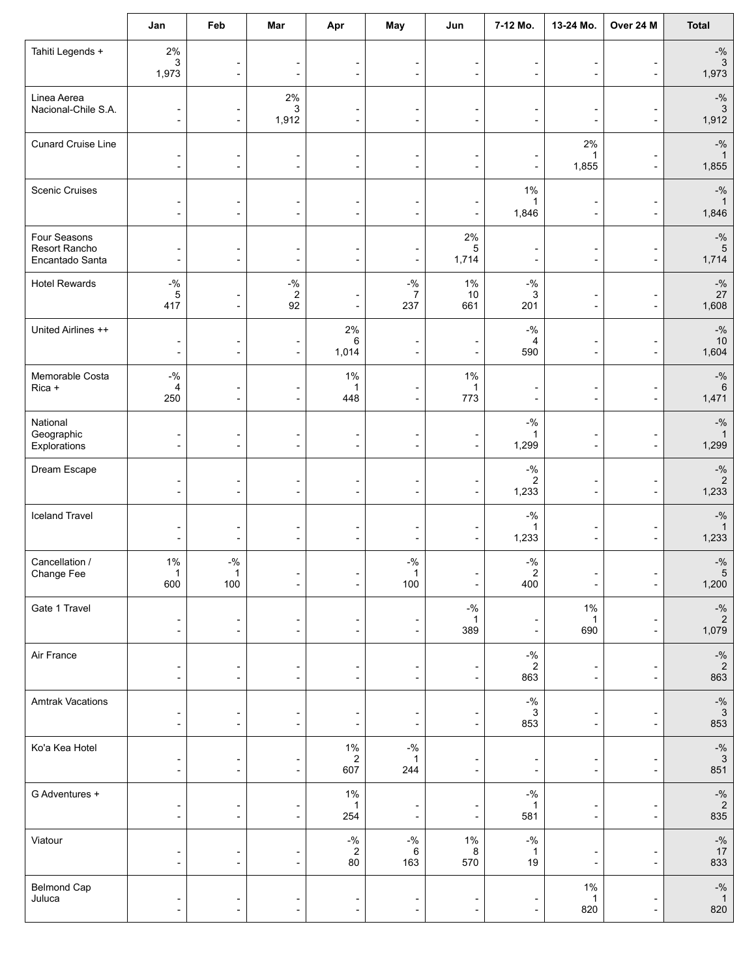|                                                  | Jan                                                  | Feb                                                  | Mar                                                      | Apr                                                      | May                                            | Jun                                                  | 7-12 Mo.                                                     | 13-24 Mo.                                            | Over 24 M                                  | <b>Total</b>                                                             |
|--------------------------------------------------|------------------------------------------------------|------------------------------------------------------|----------------------------------------------------------|----------------------------------------------------------|------------------------------------------------|------------------------------------------------------|--------------------------------------------------------------|------------------------------------------------------|--------------------------------------------|--------------------------------------------------------------------------|
| Tahiti Legends +                                 | 2%<br>3<br>1,973                                     | $\overline{\phantom{a}}$                             | $\overline{\phantom{a}}$<br>$\overline{\phantom{a}}$     | -<br>$\overline{\phantom{a}}$                            | $\blacksquare$<br>$\overline{a}$               | $\blacksquare$<br>$\overline{\phantom{a}}$           | $\blacksquare$<br>$\overline{\phantom{a}}$                   | $\blacksquare$<br>$\overline{\phantom{0}}$           | $\overline{\phantom{a}}$                   | $-$ %<br>$\sqrt{3}$<br>1,973                                             |
| Linea Aerea<br>Nacional-Chile S.A.               | $\overline{\phantom{a}}$<br>$\overline{\phantom{a}}$ | $\overline{\phantom{a}}$                             | 2%<br>3<br>1,912                                         | $\blacksquare$                                           | $\qquad \qquad \blacksquare$<br>$\overline{a}$ | $\overline{\phantom{a}}$<br>$\overline{\phantom{a}}$ | $\overline{a}$<br>$\overline{\phantom{a}}$                   | $\overline{a}$<br>$\overline{\phantom{a}}$           | $\overline{a}$                             | $-9/6$<br>3<br>1,912                                                     |
| <b>Cunard Cruise Line</b>                        | $\overline{\phantom{a}}$<br>$\overline{\phantom{a}}$ | $\overline{\phantom{a}}$<br>$\overline{\phantom{a}}$ | $\overline{\phantom{a}}$<br>$\overline{\phantom{a}}$     | $\qquad \qquad \blacksquare$<br>$\overline{\phantom{a}}$ | -<br>$\overline{\phantom{0}}$                  | $\blacksquare$<br>$\overline{\phantom{a}}$           | $\overline{\phantom{a}}$<br>$\overline{\phantom{a}}$         | 2%<br>1<br>1,855                                     | ٠<br>$\overline{\phantom{a}}$              | $-$ %<br>1,855                                                           |
| <b>Scenic Cruises</b>                            | $\overline{\phantom{a}}$<br>$\overline{\phantom{a}}$ | $\overline{\phantom{a}}$<br>$\overline{\phantom{a}}$ | $\overline{\phantom{a}}$<br>$\overline{\phantom{a}}$     | $\overline{\phantom{0}}$                                 | $\blacksquare$<br>$\overline{a}$               | $\overline{\phantom{a}}$<br>$\overline{\phantom{a}}$ | $1\%$<br>1<br>1,846                                          | $\overline{a}$<br>$\overline{\phantom{a}}$           | $\overline{\phantom{0}}$<br>÷              | $-$ %<br>$\mathbf{1}$<br>1,846                                           |
| Four Seasons<br>Resort Rancho<br>Encantado Santa | $\overline{\phantom{a}}$<br>$\overline{\phantom{a}}$ | $\overline{\phantom{a}}$                             | $\overline{\phantom{a}}$<br>$\overline{\phantom{a}}$     |                                                          | ٠                                              | 2%<br>5<br>1,714                                     | $\overline{a}$<br>$\overline{\phantom{a}}$                   | $\overline{\phantom{0}}$<br>$\overline{\phantom{a}}$ | $\overline{\phantom{a}}$                   | $-9/6$<br>$\sqrt{5}$<br>1,714                                            |
| <b>Hotel Rewards</b>                             | $ \%$<br>5<br>417                                    | $\overline{\phantom{a}}$<br>$\overline{\phantom{a}}$ | $-{\%}$<br>$\sqrt{2}$<br>92                              | $\blacksquare$                                           | $-$ %<br>7<br>237                              | $1\%$<br>10<br>661                                   | $-9/6$<br>3<br>201                                           | $\overline{a}$<br>$\blacksquare$                     | -<br>٠                                     | $\mathbin{{\multimap}}\mathbin{\mathsf{V}}_0$<br>$27\,$<br>1,608         |
| United Airlines ++                               | $\overline{\phantom{a}}$<br>$\blacksquare$           | $\overline{\phantom{a}}$<br>$\overline{\phantom{a}}$ | $\qquad \qquad \blacksquare$<br>$\overline{\phantom{a}}$ | 2%<br>6<br>1,014                                         | $\overline{\phantom{0}}$<br>$\overline{a}$     | $\overline{\phantom{0}}$                             | $-9/0$<br>$\overline{4}$<br>590                              | $\overline{a}$<br>$\blacksquare$                     | $\overline{\phantom{0}}$<br>$\overline{a}$ | $-$ %<br>$10$<br>1,604                                                   |
| Memorable Costa<br>Rica +                        | $-9/6$<br>$\overline{4}$<br>250                      | $\overline{\phantom{a}}$                             | -<br>$\overline{\phantom{a}}$                            | 1%<br>1<br>448                                           | -<br>$\overline{\phantom{a}}$                  | 1%<br>$\mathbf{1}$<br>773                            | $\overline{a}$<br>$\overline{\phantom{a}}$                   | $\overline{\phantom{a}}$                             | $\overline{a}$<br>$\overline{a}$           | $-9/6$<br>$6\phantom{1}$<br>1,471                                        |
| National<br>Geographic<br>Explorations           | $\overline{\phantom{a}}$                             | $\overline{\phantom{a}}$                             | $\overline{a}$<br>$\overline{\phantom{a}}$               | $\overline{\phantom{a}}$                                 | $\overline{\phantom{a}}$                       | $\overline{\phantom{a}}$                             | $-$ %<br>$\mathbf 1$<br>1,299                                | $\overline{\phantom{a}}$                             | $\overline{a}$                             | $-$ %<br>$\mathbf{1}$<br>1,299                                           |
| Dream Escape                                     | $\overline{a}$<br>$\overline{\phantom{a}}$           | $\overline{\phantom{a}}$<br>$\overline{\phantom{a}}$ | -<br>$\overline{\phantom{a}}$                            | $\overline{a}$                                           | -<br>$\overline{\phantom{a}}$                  | $\overline{\phantom{a}}$                             | $-9/0$<br>$\overline{\mathbf{c}}$<br>1,233                   | -<br>$\overline{\phantom{a}}$                        | $\overline{a}$<br>$\overline{a}$           | $-9/6$<br>$\sqrt{2}$<br>1,233                                            |
| <b>Iceland Travel</b>                            | $\overline{\phantom{a}}$<br>$\overline{\phantom{a}}$ | $\overline{\phantom{a}}$<br>$\overline{\phantom{a}}$ | ÷<br>$\overline{\phantom{a}}$                            | $\overline{\phantom{a}}$                                 | -<br>$\overline{\phantom{0}}$                  | $\overline{\phantom{a}}$<br>$\overline{\phantom{a}}$ | $\mathbin{{\mathcal-}}\mathbin{\mathcal{Y}}_0$<br>1<br>1,233 | $\overline{a}$<br>$\overline{\phantom{a}}$           | $\overline{a}$<br>$\overline{a}$           | $-$ %<br>$\mathbf{1}$<br>1,233                                           |
| Cancellation /<br>Change Fee                     | 1%<br>600                                            | $ \%$<br>100                                         | ÷                                                        | $\overline{\phantom{a}}$                                 | $-$ %<br>100                                   | $\overline{\phantom{a}}$                             | $-9/0$<br>$\overline{\mathbf{c}}$<br>400                     | $\overline{\phantom{a}}$                             | $\overline{\phantom{a}}$                   | $-$ %<br>$5\phantom{.0}$<br>1,200                                        |
| Gate 1 Travel                                    | $\overline{\phantom{a}}$                             | $\overline{\phantom{a}}$                             | $\qquad \qquad \blacksquare$<br>$\overline{\phantom{a}}$ | $\overline{\phantom{a}}$                                 | $\overline{a}$                                 | $-9/6$<br>$\mathbf{1}$<br>389                        | -<br>$\blacksquare$                                          | $1\%$<br>$\mathbf{1}$<br>690                         | ÷,                                         | $\mathbin{{\multimap}}\mathbin{\mathsf{V}}_0$<br>$\overline{2}$<br>1,079 |
| Air France                                       | -<br>$\overline{\phantom{a}}$                        | $\overline{\phantom{a}}$<br>$\overline{\phantom{a}}$ | -<br>$\overline{\phantom{a}}$                            |                                                          |                                                | $\overline{\phantom{a}}$                             | $-$ %<br>2<br>863                                            | $\overline{\phantom{a}}$<br>$\overline{\phantom{a}}$ | $\overline{a}$                             | $\mathbin{{\mathcal-}}\mathbin{\mathcal{Y}}_0$<br>$\sqrt{2}$<br>863      |
| <b>Amtrak Vacations</b>                          | $\overline{\phantom{a}}$<br>$\overline{\phantom{a}}$ | $\overline{\phantom{a}}$                             | $\overline{\phantom{a}}$<br>$\overline{\phantom{a}}$     | -                                                        |                                                | $\overline{\phantom{a}}$                             | $-9/6$<br>$\mathbf{3}$<br>853                                | $\overline{a}$<br>$\overline{\phantom{a}}$           | $\overline{a}$                             | $-%$<br>3<br>853                                                         |
| Ko'a Kea Hotel                                   | $\overline{\phantom{a}}$<br>$\overline{\phantom{a}}$ | $\overline{\phantom{a}}$<br>$\overline{\phantom{a}}$ | $\overline{a}$<br>$\blacksquare$                         | $1\%$<br>$\overline{c}$<br>607                           | $-$ %<br>1<br>244                              | $\overline{\phantom{a}}$                             | $\overline{\phantom{a}}$<br>$\blacksquare$                   | $\overline{\phantom{a}}$<br>$\overline{\phantom{a}}$ | $\overline{\phantom{a}}$                   | $-9/6$<br>$\mathbf{3}$<br>851                                            |
| G Adventures +                                   | $\overline{\phantom{a}}$<br>$\overline{\phantom{a}}$ | $\overline{a}$<br>$\overline{\phantom{a}}$           | $\overline{\phantom{a}}$<br>$\overline{\phantom{a}}$     | $1\%$<br>$\mathbf{1}$<br>254                             | $\overline{a}$                                 | $\overline{\phantom{a}}$                             | $- \frac{0}{6}$<br>1<br>581                                  | $\overline{\phantom{a}}$<br>$\overline{\phantom{a}}$ | ÷,                                         | $\mathbin{{\multimap}}\mathbin{\mathsf{V}}_0$<br>$\overline{c}$<br>835   |
| Viatour                                          | -<br>$\overline{\phantom{a}}$                        | $\overline{\phantom{a}}$<br>$\overline{\phantom{a}}$ | $\overline{\phantom{a}}$                                 | $-$ %<br>$\overline{c}$<br>80                            | $-$ %<br>6<br>163                              | $1\%$<br>8<br>570                                    | $\mathbin{{\mathcal G}}_0$<br>$\mathbf{1}$<br>$19$           | $\overline{a}$<br>÷,                                 | $\qquad \qquad \blacksquare$               | $\mathbin{{\mathcal-}}\!\mathcal{Y}_0$<br>17<br>833                      |
| <b>Belmond Cap</b><br>Juluca                     | $\overline{\phantom{a}}$<br>$\overline{\phantom{a}}$ | $\overline{\phantom{a}}$                             | $\overline{\phantom{0}}$<br>$\overline{\phantom{a}}$     |                                                          | -                                              | $\overline{\phantom{a}}$                             | -<br>$\overline{\phantom{a}}$                                | $1\%$<br>$\mathbf{1}$<br>820                         | $\overline{a}$                             | $-9/6$<br>$\overline{1}$<br>820                                          |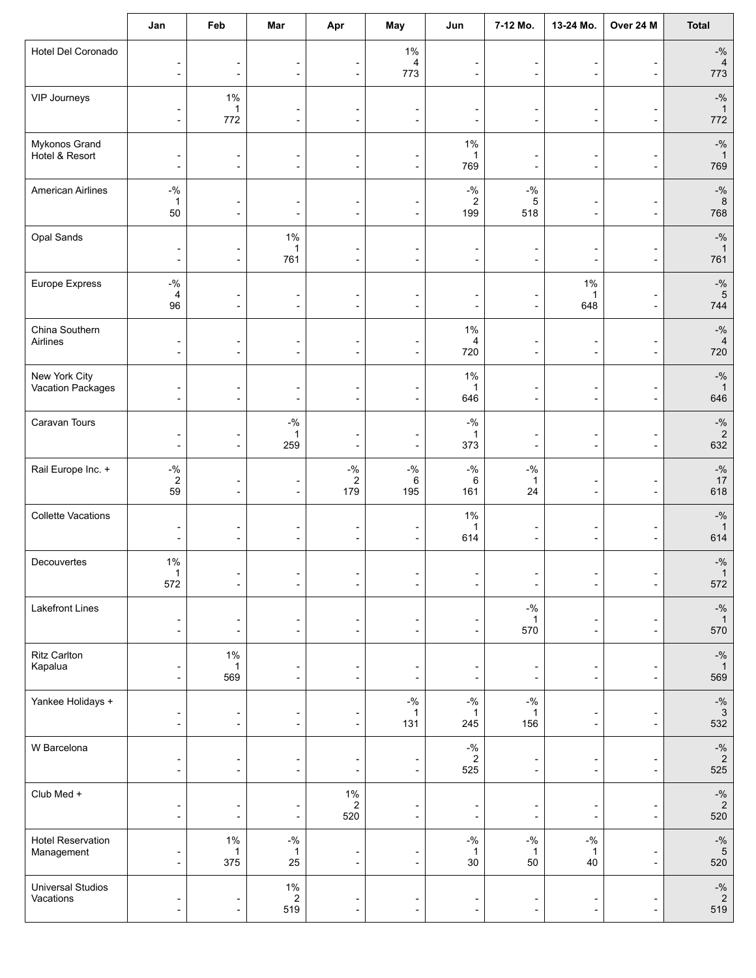|                                        | Jan                                                                   | Feb                                                  | Mar                                                          | Apr                                                                         | May                                                      | Jun                                                  | 7-12 Mo.                                                             | 13-24 Mo.                                                    | Over 24 M                                                | <b>Total</b>                                                         |
|----------------------------------------|-----------------------------------------------------------------------|------------------------------------------------------|--------------------------------------------------------------|-----------------------------------------------------------------------------|----------------------------------------------------------|------------------------------------------------------|----------------------------------------------------------------------|--------------------------------------------------------------|----------------------------------------------------------|----------------------------------------------------------------------|
| Hotel Del Coronado                     | $\overline{\phantom{a}}$<br>$\overline{\phantom{a}}$                  | $\overline{\phantom{a}}$<br>$\overline{\phantom{a}}$ | $\overline{\phantom{a}}$<br>$\overline{\phantom{a}}$         | -<br>$\overline{\phantom{a}}$                                               | $1\%$<br>4<br>773                                        | $\overline{\phantom{a}}$<br>$\overline{\phantom{a}}$ | $\overline{\phantom{0}}$<br>$\overline{\phantom{a}}$                 | -<br>$\overline{a}$                                          | $\overline{\phantom{a}}$                                 | $-9/6$<br>$\overline{4}$<br>773                                      |
| VIP Journeys                           | $\overline{\phantom{a}}$<br>$\overline{\phantom{a}}$                  | $1\%$<br>1<br>772                                    | $\overline{\phantom{a}}$<br>$\overline{\phantom{a}}$         | $\overline{\phantom{0}}$<br>$\blacksquare$                                  | $\overline{\phantom{a}}$<br>$\overline{\phantom{a}}$     | $\overline{\phantom{a}}$<br>$\overline{\phantom{a}}$ | $\blacksquare$<br>$\overline{\phantom{a}}$                           | ٠<br>$\overline{a}$                                          | $\overline{\phantom{0}}$<br>÷                            | $-$ %<br>$\overline{1}$<br>772                                       |
| Mykonos Grand<br>Hotel & Resort        | $\overline{\phantom{a}}$<br>$\overline{\phantom{a}}$                  | $\overline{\phantom{a}}$<br>$\overline{\phantom{a}}$ | $\overline{\phantom{a}}$<br>$\blacksquare$                   | -<br>$\overline{\phantom{a}}$                                               | $\qquad \qquad \blacksquare$<br>$\overline{\phantom{0}}$ | $1\%$<br>769                                         | $\overline{\phantom{a}}$<br>$\blacksquare$                           | $\overline{a}$<br>$\overline{a}$                             | $\qquad \qquad \blacksquare$<br>$\overline{\phantom{a}}$ | $-$ %<br>$\mathbf 1$<br>769                                          |
| <b>American Airlines</b>               | $\mathbin{{\mathcal-}}\!\mathbin{\mathcal{Y}}_0$<br>$\mathbf 1$<br>50 | $\overline{a}$<br>$\overline{\phantom{a}}$           | $\overline{\phantom{0}}$<br>$\overline{\phantom{a}}$         | $\overline{\phantom{0}}$<br>$\blacksquare$                                  | -<br>$\overline{\phantom{a}}$                            | $-$ %<br>$\overline{c}$<br>199                       | $-$ %<br>5<br>518                                                    | -<br>$\overline{\phantom{a}}$                                | $\overline{a}$                                           | $-$ %<br>$\,8\,$<br>768                                              |
| Opal Sands                             | $\overline{\phantom{a}}$<br>$\overline{\phantom{a}}$                  | $\overline{\phantom{a}}$                             | $1\%$<br>1<br>761                                            | $\overline{a}$                                                              | -<br>$\overline{\phantom{0}}$                            | $\overline{\phantom{a}}$<br>$\blacksquare$           | $\blacksquare$                                                       | $\overline{a}$<br>$\blacksquare$                             | $\overline{\phantom{0}}$                                 | $-$ %<br>$\overline{1}$<br>761                                       |
| Europe Express                         | $\mathbin{{\mathcal-}}\mathbin{\mathcal{Y}}_0$<br>4<br>96             | $\overline{\phantom{a}}$<br>$\overline{\phantom{a}}$ | -<br>$\overline{\phantom{a}}$                                | -<br>$\overline{\phantom{0}}$                                               | -<br>$\overline{\phantom{a}}$                            | -<br>$\overline{\phantom{a}}$                        | $\overline{a}$<br>$\overline{\phantom{a}}$                           | $1\%$<br>1<br>648                                            | $\overline{a}$                                           | $\mathbin{{\multimap}}\mathbin{\mathsf{0}}$<br>$\sqrt{5}$<br>744     |
| China Southern<br>Airlines             | $\overline{\phantom{a}}$<br>$\overline{\phantom{a}}$                  | $\blacksquare$<br>$\overline{\phantom{a}}$           | $\qquad \qquad \blacksquare$<br>$\overline{\phantom{a}}$     | $\overline{\phantom{0}}$<br>۰                                               | $\overline{a}$<br>$\blacksquare$                         | $1\%$<br>4<br>720                                    | $\overline{\phantom{a}}$<br>$\blacksquare$                           | $\qquad \qquad \blacksquare$<br>$\qquad \qquad \blacksquare$ | $\overline{\phantom{0}}$<br>$\overline{a}$               | $-$ %<br>$\sqrt{4}$<br>720                                           |
| New York City<br>Vacation Packages     | $\overline{\phantom{a}}$<br>$\overline{\phantom{a}}$                  | $\overline{\phantom{a}}$<br>$\overline{\phantom{a}}$ | $\qquad \qquad \blacksquare$<br>$\qquad \qquad \blacksquare$ | -<br>$\overline{\phantom{a}}$                                               | -<br>$\overline{\phantom{a}}$                            | $1\%$<br>$\mathbf{1}$<br>646                         | $\overline{\phantom{a}}$                                             | -<br>$\overline{\phantom{a}}$                                | -<br>$\overline{\phantom{a}}$                            | $-$ %<br>$\mathbf{1}$<br>646                                         |
| Caravan Tours                          | $\overline{\phantom{a}}$<br>$\overline{\phantom{a}}$                  | $\overline{\phantom{a}}$                             | $-9/6$<br>1<br>259                                           | $\overline{\phantom{a}}$                                                    | $\overline{\phantom{a}}$                                 | $-$ %<br>$\mathbf{1}$<br>373                         | $\overline{\phantom{a}}$                                             | -<br>$\overline{\phantom{a}}$                                | $\overline{\phantom{a}}$                                 | $-9/6$<br>$\sqrt{2}$<br>632                                          |
| Rail Europe Inc. +                     | $-{\%}$<br>$\sqrt{2}$<br>59                                           | $\overline{\phantom{a}}$                             | $\qquad \qquad \blacksquare$<br>$\overline{\phantom{a}}$     | $\mathbin{{\mathcal-}}\!\mathbin{\mathcal{Y}}_0$<br>$\boldsymbol{2}$<br>179 | $-9/6$<br>6<br>195                                       | $\mathbin{{\mathcal-}}\!\mathcal{Y}_0$<br>6<br>161   | $\mathbin{{\circ}}\!\mathbin{{\circ}}\!\mathbin{{\circ}}$<br>1<br>24 | -<br>$\overline{\phantom{a}}$                                | $\overline{a}$<br>$\overline{a}$                         | $\mathbin{{\multimap}}\mathbin{\mathsf{0}}$<br>17<br>618             |
| <b>Collette Vacations</b>              | $\overline{\phantom{a}}$<br>$\overline{\phantom{a}}$                  | ٠<br>$\overline{\phantom{a}}$                        | $\qquad \qquad \blacksquare$<br>$\overline{\phantom{a}}$     | -<br>$\overline{\phantom{a}}$                                               | -<br>$\overline{\phantom{a}}$                            | $1\%$<br>1<br>614                                    | $\overline{a}$<br>$\overline{\phantom{a}}$                           | $\overline{a}$<br>$\overline{\phantom{a}}$                   | ÷                                                        | $-$ %<br>$\mathbf{1}$<br>614                                         |
| Decouvertes                            | $1\%$<br>572                                                          | $\overline{\phantom{a}}$                             | $\overline{\phantom{a}}$                                     | $\overline{\phantom{0}}$                                                    | $\overline{\phantom{a}}$                                 | $\overline{\phantom{a}}$                             | $\overline{\phantom{a}}$                                             | $\overline{\phantom{a}}$                                     | $\overline{\phantom{a}}$                                 | $-$ %<br>$\overline{1}$<br>572                                       |
| Lakefront Lines                        | $\overline{\phantom{a}}$<br>$\overline{\phantom{a}}$                  | $\overline{\phantom{a}}$<br>$\overline{\phantom{a}}$ | $\overline{\phantom{a}}$<br>$\overline{\phantom{a}}$         | -<br>$\overline{\phantom{a}}$                                               | -<br>$\overline{a}$                                      | $\overline{\phantom{a}}$<br>$\overline{\phantom{a}}$ | $- \frac{0}{6}$<br>$\mathbf{1}$<br>570                               | $\overline{a}$<br>$\overline{\phantom{a}}$                   | ÷                                                        | $\mathbin{{\multimap}}\mathbin{\mathsf{0}}$<br>$\overline{1}$<br>570 |
| <b>Ritz Carlton</b><br>Kapalua         | $\overline{\phantom{a}}$<br>$\overline{\phantom{a}}$                  | $1\%$<br>1<br>569                                    | $\overline{\phantom{a}}$<br>$\overline{\phantom{0}}$         | -<br>÷                                                                      | $\qquad \qquad \blacksquare$<br>٠                        | $\overline{\phantom{a}}$<br>$\overline{\phantom{a}}$ | $\overline{\phantom{a}}$<br>$\overline{\phantom{a}}$                 | $\overline{a}$<br>÷,                                         | $\overline{a}$<br>$\overline{\phantom{a}}$               | $\mathbin{{\multimap}}\mathbin{\mathsf{0}}$<br>$\mathbf{1}$<br>569   |
| Yankee Holidays +                      | $\overline{\phantom{a}}$<br>$\overline{\phantom{a}}$                  | $\overline{\phantom{a}}$                             | $\overline{\phantom{a}}$<br>$\overline{\phantom{a}}$         | -<br>$\overline{\phantom{a}}$                                               | $-$ %<br>1<br>131                                        | $-$ %<br>$\mathbf 1$<br>245                          | $-$ %<br>1<br>156                                                    | $\overline{a}$<br>$\overline{\phantom{a}}$                   | ÷                                                        | $\mathbin{{\multimap}}\mathbin{\mathsf{0}}$<br>$\sqrt{3}$<br>532     |
| W Barcelona                            | $\overline{\phantom{a}}$<br>$\overline{\phantom{a}}$                  | $\overline{\phantom{a}}$<br>$\overline{\phantom{a}}$ | $\overline{\phantom{a}}$<br>$\overline{\phantom{a}}$         | -<br>$\overline{\phantom{a}}$                                               | ٠<br>$\overline{\phantom{a}}$                            | $-9/6$<br>$\overline{2}$<br>525                      | $\overline{\phantom{a}}$<br>$\overline{\phantom{a}}$                 | $\overline{\phantom{a}}$<br>$\overline{\phantom{a}}$         | $\overline{\phantom{a}}$                                 | $\mathbin{{\multimap}}\mathbin{\mathsf{0}}$<br>$\overline{c}$<br>525 |
| Club Med +                             | $\overline{\phantom{a}}$<br>$\overline{\phantom{a}}$                  | $\overline{\phantom{a}}$<br>$\overline{\phantom{a}}$ | $\overline{\phantom{a}}$<br>$\overline{\phantom{a}}$         | $1\%$<br>$\overline{c}$<br>520                                              | -<br>-                                                   | $\overline{\phantom{a}}$<br>$\overline{\phantom{a}}$ | $\overline{\phantom{a}}$<br>$\overline{\phantom{a}}$                 | $\overline{\phantom{a}}$<br>$\overline{\phantom{a}}$         | $\overline{a}$                                           | $\mathbin{{\multimap}}\mathbin{\mathsf{0}}$<br>$\overline{2}$<br>520 |
| <b>Hotel Reservation</b><br>Management | $\overline{\phantom{a}}$<br>$\overline{\phantom{a}}$                  | $1\%$<br>375                                         | $-{\%}$<br>1<br>25                                           | $\overline{\phantom{a}}$<br>$\overline{\phantom{a}}$                        | $\overline{a}$<br>$\overline{\phantom{0}}$               | $-$ %<br>$\mathbf 1$<br>$30\,$                       | $\mathbin{{\mathcal G}}_0$<br>50                                     | $\mathbin{{\mathcal G}}_0$<br>1<br>40                        | $\overline{\phantom{a}}$<br>$\overline{\phantom{a}}$     | $\mathbin{{\multimap}}\mathbin{\mathsf{0}}$<br>$\sqrt{5}$<br>520     |
| <b>Universal Studios</b><br>Vacations  | $\overline{\phantom{a}}$<br>$\overline{\phantom{a}}$                  | $\overline{\phantom{a}}$<br>$\overline{\phantom{a}}$ | $1\%$<br>$\overline{\mathbf{c}}$<br>519                      | -<br>$\overline{\phantom{0}}$                                               | $\qquad \qquad \blacksquare$<br>$\overline{\phantom{a}}$ | $\overline{\phantom{a}}$<br>$\overline{\phantom{a}}$ | $\overline{\phantom{a}}$                                             | $\overline{\phantom{a}}$<br>$\blacksquare$                   | $\overline{a}$                                           | $-9/6$<br>$\overline{\mathbf{c}}$<br>519                             |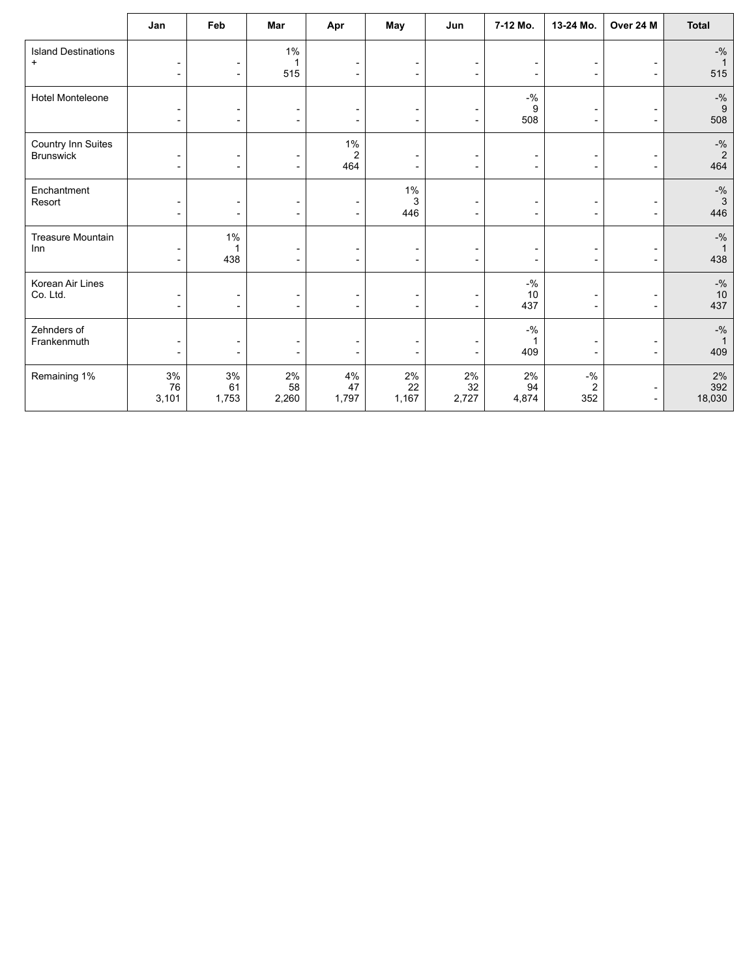|                                         | Jan                                                  | Feb                                                  | Mar                                                  | Apr                            | May                                                  | Jun                                                  | 7-12 Mo.                                   | 13-24 Mo.                                            | Over 24 M                                            | <b>Total</b>                                                                     |
|-----------------------------------------|------------------------------------------------------|------------------------------------------------------|------------------------------------------------------|--------------------------------|------------------------------------------------------|------------------------------------------------------|--------------------------------------------|------------------------------------------------------|------------------------------------------------------|----------------------------------------------------------------------------------|
| <b>Island Destinations</b><br>$\ddot{}$ | $\overline{\phantom{a}}$                             | $\overline{\phantom{a}}$                             | $1\%$<br>1<br>515                                    |                                | $\overline{\phantom{a}}$<br>$\blacksquare$           | $\overline{\phantom{a}}$<br>$\overline{\phantom{a}}$ |                                            | $\overline{a}$<br>$\overline{\phantom{a}}$           | $\overline{\phantom{0}}$                             | $-9/6$<br>$\overline{1}$<br>515                                                  |
| Hotel Monteleone                        | $\overline{\phantom{a}}$<br>$\overline{\phantom{a}}$ | $\overline{\phantom{a}}$<br>$\overline{\phantom{a}}$ | $\overline{\phantom{a}}$<br>$\overline{\phantom{a}}$ |                                | $\blacksquare$<br>$\overline{\phantom{a}}$           | ۰<br>$\overline{\phantom{a}}$                        | $-9/6$<br>9<br>508                         | $\overline{\phantom{0}}$<br>$\overline{\phantom{0}}$ | $\overline{\phantom{0}}$<br>$\overline{\phantom{a}}$ | $-9/6$<br>9<br>508                                                               |
| Country Inn Suites<br><b>Brunswick</b>  | $\overline{\phantom{a}}$<br>$\overline{\phantom{a}}$ | $\blacksquare$<br>$\overline{\phantom{a}}$           | $\overline{\phantom{a}}$<br>٠                        | $1\%$<br>$\overline{2}$<br>464 | $\overline{\phantom{0}}$                             | $\overline{\phantom{a}}$<br>$\overline{\phantom{a}}$ | $\overline{\phantom{a}}$                   | $\overline{\phantom{0}}$<br>$\overline{\phantom{a}}$ | $\blacksquare$                                       | $-$ % $2$<br>464                                                                 |
| Enchantment<br>Resort                   | $\overline{\phantom{a}}$<br>$\overline{\phantom{a}}$ | $\overline{\phantom{a}}$<br>$\overline{\phantom{a}}$ | $\overline{\phantom{a}}$<br>٠                        | ۰                              | $1\%$<br>3<br>446                                    | $\overline{\phantom{a}}$<br>$\overline{\phantom{a}}$ | $\overline{a}$<br>$\overline{\phantom{a}}$ | -<br>$\overline{\phantom{a}}$                        | $\overline{\phantom{0}}$                             | $\mathbin{{\circ}}\!\mathbin{{\circ}}\!\mathbin{{\circ}}$<br>$\mathbf{3}$<br>446 |
| <b>Treasure Mountain</b><br>Inn         | $\overline{\phantom{a}}$<br>$\overline{\phantom{a}}$ | $1\%$<br>1<br>438                                    | $\overline{\phantom{a}}$<br>$\overline{\phantom{a}}$ |                                | $\qquad \qquad \blacksquare$<br>$\blacksquare$       | $\overline{\phantom{a}}$<br>$\overline{\phantom{a}}$ |                                            | ۰<br>$\overline{\phantom{a}}$                        | $\qquad \qquad \blacksquare$<br>$\blacksquare$       | $-$ %<br>$\overline{1}$<br>438                                                   |
| Korean Air Lines<br>Co. Ltd.            | $\overline{\phantom{a}}$<br>$\overline{\phantom{a}}$ | $\overline{\phantom{a}}$<br>$\overline{\phantom{a}}$ | $\overline{\phantom{a}}$<br>$\overline{\phantom{a}}$ |                                | $\overline{\phantom{a}}$<br>$\blacksquare$           | $\overline{\phantom{a}}$<br>$\overline{\phantom{a}}$ | $-$ %<br>10<br>437                         | -<br>$\overline{\phantom{a}}$                        | $\overline{a}$<br>$\overline{\phantom{0}}$           | $-9/6$<br>$10$<br>437                                                            |
| Zehnders of<br>Frankenmuth              | $\overline{\phantom{a}}$<br>$\overline{\phantom{a}}$ | $\overline{\phantom{a}}$<br>$\blacksquare$           | $\overline{\phantom{a}}$<br>$\blacksquare$           |                                | $\overline{\phantom{0}}$<br>$\overline{\phantom{0}}$ | $\overline{\phantom{a}}$                             | $-9/6$<br>409                              | $\overline{\phantom{0}}$<br>$\overline{\phantom{a}}$ | $\overline{\phantom{a}}$                             | $-9/6$<br>409                                                                    |
| Remaining 1%                            | 3%<br>76<br>3,101                                    | $3%$<br>61<br>1,753                                  | $2\%$<br>58<br>2,260                                 | $4\%$<br>47<br>1,797           | 2%<br>22<br>1,167                                    | 2%<br>32<br>2,727                                    | 2%<br>94<br>4,874                          | $-$ %<br>$\overline{c}$<br>352                       | $\overline{\phantom{a}}$                             | $2\%$<br>392<br>18,030                                                           |